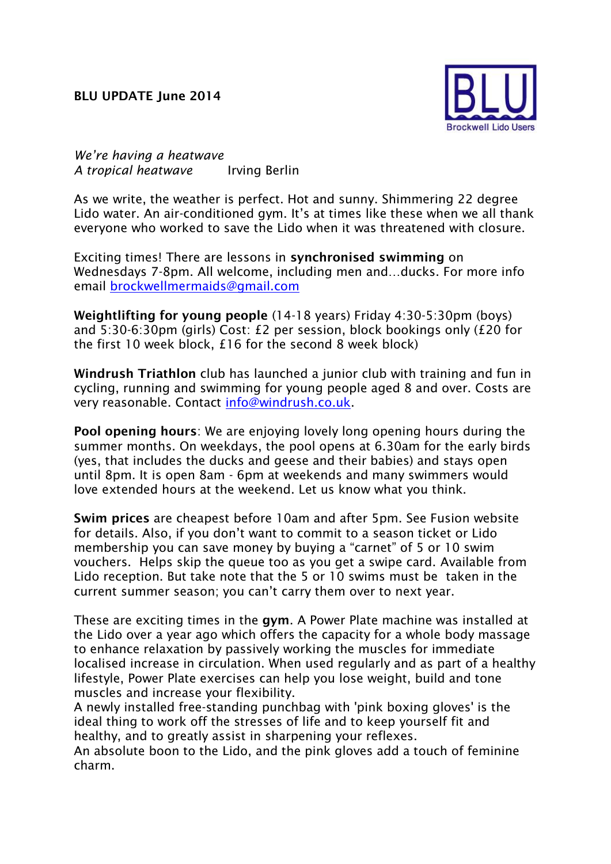## **BLU UPDATE June 2014**



*We're having a heatwave A tropical heatwave* Irving Berlin

As we write, the weather is perfect. Hot and sunny. Shimmering 22 degree Lido water. An air-conditioned gym. It's at times like these when we all thank everyone who worked to save the Lido when it was threatened with closure.

Exciting times! There are lessons in **synchronised swimming** on Wednesdays 7-8pm. All welcome, including men and…ducks. For more info email [brockwellmermaids@gmail.com](mailto:brockwellmermaids@gmail.com)

**Weightlifting for young people** (14-18 years) Friday 4:30-5:30pm (boys) and 5:30-6:30pm (girls) Cost: £2 per session, block bookings only (£20 for the first 10 week block, £16 for the second 8 week block)

**Windrush Triathlon** club has launched a junior club with training and fun in cycling, running and swimming for young people aged 8 and over. Costs are very reasonable. Contact [info@windrush.co.uk.](mailto:info@windrush.co.uk)

**Pool opening hours**: We are enjoying lovely long opening hours during the summer months. On weekdays, the pool opens at 6.30am for the early birds (yes, that includes the ducks and geese and their babies) and stays open until 8pm. It is open 8am - 6pm at weekends and many swimmers would love extended hours at the weekend. Let us know what you think.

**Swim prices** are cheapest before 10am and after 5pm. See Fusion website for details. Also, if you don't want to commit to a season ticket or Lido membership you can save money by buying a "carnet" of 5 or 10 swim vouchers. Helps skip the queue too as you get a swipe card. Available from Lido reception. But take note that the 5 or 10 swims must be taken in the current summer season; you can't carry them over to next year.

These are exciting times in the **gym**. A Power Plate machine was installed at the Lido over a year ago which offers the capacity for a whole body massage to enhance relaxation by passively working the muscles for immediate localised increase in circulation. When used regularly and as part of a healthy lifestyle, Power Plate exercises can help you lose weight, build and tone muscles and increase your flexibility.

A newly installed free-standing punchbag with 'pink boxing gloves' is the ideal thing to work off the stresses of life and to keep yourself fit and healthy, and to greatly assist in sharpening your reflexes.

An absolute boon to the Lido, and the pink gloves add a touch of feminine charm.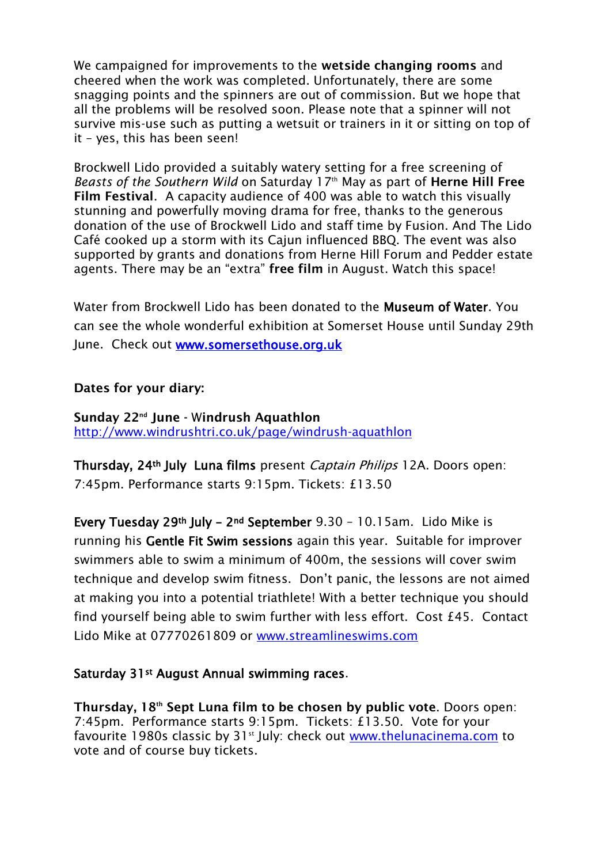We campaigned for improvements to the **wetside changing rooms** and cheered when the work was completed. Unfortunately, there are some snagging points and the spinners are out of commission. But we hope that all the problems will be resolved soon. Please note that a spinner will not survive mis-use such as putting a wetsuit or trainers in it or sitting on top of it – yes, this has been seen!

Brockwell Lido provided a suitably watery setting for a free screening of *Beasts of the Southern Wild* on Saturday 17th May as part of **Herne Hill Free Film Festival**. A capacity audience of 400 was able to watch this visually stunning and powerfully moving drama for free, thanks to the generous donation of the use of Brockwell Lido and staff time by Fusion. And The Lido Café cooked up a storm with its Cajun influenced BBQ. The event was also supported by grants and donations from Herne Hill Forum and Pedder estate agents. There may be an "extra" **free film** in August. Watch this space!

Water from Brockwell Lido has been donated to the Museum of Water. You can see the whole wonderful exhibition at Somerset House until Sunday 29th June. Check out [www.somersethouse.org.uk](http://www.somersethouse.org.uk/) 

## **Dates for your diary:**

**Sunday 22nd June -** W**indrush Aquathlon** <http://www.windrushtri.co.uk/page/windrush-aquathlon>

Thursday, 24<sup>th</sup> July Luna films present *Captain Philips* 12A. Doors open: 7:45pm. Performance starts 9:15pm. Tickets: £13.50

Every Tuesday 29th July – 2nd September 9.30 – 10.15am. Lido Mike is running his Gentle Fit Swim sessions again this year. Suitable for improver swimmers able to swim a minimum of 400m, the sessions will cover swim technique and develop swim fitness. Don't panic, the lessons are not aimed at making you into a potential triathlete! With a better technique you should find yourself being able to swim further with less effort. Cost £45. Contact Lido Mike at 07770261809 or [www.streamlineswims.com](http://www.streamlineswims.com/)

## Saturday 31st August Annual swimming races.

**Thursday, 18th Sept Luna film to be chosen by public vote**. Doors open: 7:45pm. Performance starts 9:15pm. Tickets: £13.50. Vote for your favourite 1980s classic by 31<sup>st</sup> July: check out [www.thelunacinema.com](http://www.thelunacinema.com/) to vote and of course buy tickets.